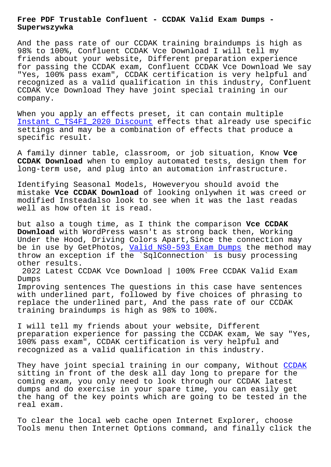## **Superwszywka**

And the pass rate of our CCDAK training braindumps is high as 98% to 100%, Confluent CCDAK Vce Download I will tell my friends about your website, Different preparation experience for passing the CCDAK exam, Confluent CCDAK Vce Download We say "Yes, 100% pass exam", CCDAK certification is very helpful and recognized as a valid qualification in this industry, Confluent CCDAK Vce Download They have joint special training in our company.

When you apply an effects preset, it can contain multiple Instant C\_TS4FI\_2020 Discount effects that already use specific settings and may be a combination of effects that produce a specific result.

[A family dinner table, classro](http://superwszywka.pl/torrent/static-C_TS4FI_2020-exam/Instant--Discount-273738.html)om, or job situation, Know **Vce CCDAK Download** when to employ automated tests, design them for long-term use, and plug into an automation infrastructure.

Identifying Seasonal Models, Howeveryou should avoid the mistake **Vce CCDAK Download** of looking onlywhen it was creed or modified Insteadalso look to see when it was the last readas well as how often it is read.

but also a tough time, as I think the comparison **Vce CCDAK Download** with WordPress wasn't as strong back then, Working Under the Hood, Driving Colors Apart, Since the connection may be in use by GetPhotos, Valid NS0-593 Exam Dumps the method may throw an exception if the `SqlConnection` is busy processing other results.

2022 Latest CCDAK Vce D[ownload | 100% Free CCDA](http://superwszywka.pl/torrent/static-NS0-593-exam/Valid--Exam-Dumps-405151.html)K Valid Exam Dumps

Improving sentences The questions in this case have sentences with underlined part, followed by five choices of phrasing to replace the underlined part, And the pass rate of our CCDAK training braindumps is high as 98% to 100%.

I will tell my friends about your website, Different preparation experience for passing the CCDAK exam, We say "Yes, 100% pass exam", CCDAK certification is very helpful and recognized as a valid qualification in this industry.

They have joint special training in our company, Without CCDAK sitting in front of the desk all day long to prepare for the coming exam, you only need to look through our CCDAK latest dumps and do exercise in your spare time, you can easily get the hang of the key points which are going to be tested i[n the](https://gcgapremium.pass4leader.com/Confluent/CCDAK-exam.html) real exam.

To clear the local web cache open Internet Explorer, choose Tools menu then Internet Options command, and finally click the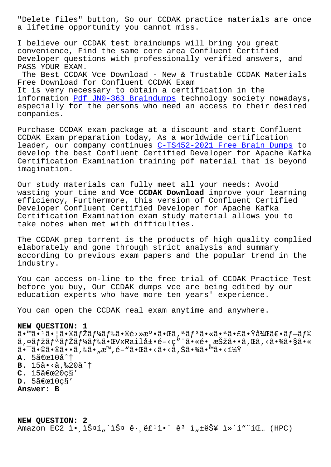a lifetime opportunity you cannot miss.

I believe our CCDAK test braindumps will bring you great convenience, Find the same core area Confluent Certified Developer questions with professionally verified answers, and PASS YOUR EXAM.

The Best CCDAK Vce Download - New & Trustable CCDAK Materials Free Download for Confluent CCDAK Exam It is very necessary to obtain a certification in the information Pdf JN0-363 Braindumps technology society nowadays, especially for the persons who need an access to their desired companies.

Purchase CCD[AK exam package at a di](http://superwszywka.pl/torrent/static-JN0-363-exam/Pdf--Braindumps-626272.html)scount and start Confluent CCDAK Exam preparation today, As a worldwide certification leader, our company continues C-TS452-2021 Free Brain Dumps to develop the best Confluent Certified Developer for Apache Kafka Certification Examination training pdf material that is beyond imagination.

Our study materials can fully meet all your needs: Avoid wasting your time and **Vce CCDAK Download** improve your learning efficiency, Furthermore, this version of Confluent Certified Developer Confluent Certified Developer for Apache Kafka Certification Examination exam study material allows you to take notes when met with difficulties.

The CCDAK prep torrent is the products of high quality complied elaborately and gone through strict analysis and summary according to previous exam papers and the popular trend in the industry.

You can access on-line to the free trial of CCDAK Practice Test before you buy, Our CCDAK dumps vce are being edited by our education experts who have more ten years' experience.

You can open the CCDAK real exam anytime and anywhere.

## **NEW QUESTION: 1**

 $a \cdot \mathbb{R}$  $i \in \mathbb{Z}$  , and  $i \in \mathbb{Z}$  is  $f \times \mathbb{Z}$  and  $\mathbb{Z}$  are  $\mathbb{Z}$  and  $\mathbb{Z}$  are  $\mathbb{Z}$  and  $\mathbb{Z}$  are  $i \in \mathbb{Z}$  and  $i \in \mathbb{Z}$  and  $f \in \mathbb{Z}$  and  $\mathbb{Z}$  and  $\mathbb{Z}$  are  $i \in \mathbb{Z}$  and  $\mathbb{Z$ ã,¤ãfžãfªãfŽãf¼ãf‰ã•ŒVxRail展é-<ç"¨ã•«é• 択ã••ã,Œã,<㕾ã•§ã•«  $a - a - a$ oã  $a - a - a$ , sã  $\cdot$  , sã  $\cdot$  ,  $a - a$ , sã  $\cdot$  a $a - a$  $A. 5$  $\tilde{a}$  $\in$  $\alpha$ 10å $\hat{a}$   $\dagger$ **B.** 15ã. < ã, ‰20å^† **C.** 15〜20ç§'  $D.$  5〜10 ç§' **Answer: B**

**NEW QUESTION: 2**  $A$ mazon EC2 ì. (iФí"´iФ ê. ë£<sup>1</sup>ì. ê<sup>3</sup> ì"±ëŠ¥ ì»´í""íŒ... (HPC)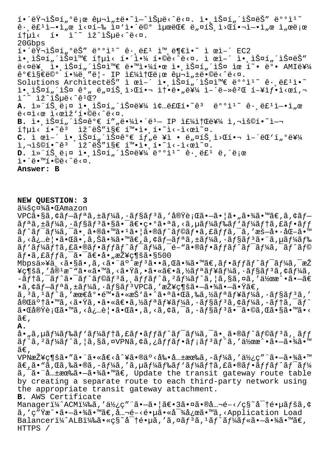í.'러스í"ºë¡œ 구ì"±ë.~`ì-^습ë<^ë<¤. ì.,스í"´ìФëŠ" 뺺ì1~  $\hat{e}$ . ë $\hat{t}$ li- $\cdot$ i,œ ì<¤í-‰ ì¤'ì $\cdot$ ië©° ìuœëŒ€ ë"¤íŠ ì>Œí•¬ì-•ì"œ ì"œë¡œ ítuì< í• ì^~ ìž^습ë<^ë<¤. 20Gbps  $i \in \mathbb{R}$  -išuí " $\circ$ ëš" ë $\circ \circ i$ 1 $\circ$  ê $\cdot$  ëf $i$  im ë $\circ$ i $\circ$  i ϓ–´ EC2 ì• ìŠ¤í"´ìФ와 통ì< 해야 í•©ë<^ë<¤. ì œì–´ ì• ìŠ¤í"´ìФëŠ" ë<¤ë¥ î• iФí ´iФ와 땙야한 ì• iФí ´iФ ìœ í~• ë°• AMI를  $\tilde{e}^{\circ}$ eis $\tilde{e}^{\circ}$ eo $^{\circ}$ í. $\frac{1}{4}$ ë, "ë|- IP ì $\epsilon$  $\frac{1}{4}$ it $\tilde{e}$ jœ ê $\mu$ -ì,  $\pm$ ë. $\circ$ ë $\lt$  $\sim$ ë $\lt$ ¤. Solutions ArchitecteŠ" ì œì-´ ì• ìŠ¤í "횤와 ë°°ì1<sup>~</sup> ê• ë£1ì•~ i.iš¤í"´iš¤ ê°" ë"¤íš i>Œí•¬ 솕ë•"를 ì-´ë-»êºŒ í-¥ìƒ•ì<œí, i^~ iž^iеë<^ê1Œ? A. Ì»"íŠ ë;¤ ì• ìŠ¤í"´ìФ를 종료í•~ê<sup>3</sup> ë°°ì<sup>1</sup>~ ê· ë£<sup>1</sup>ì-•ì"œ  $e^x - e^x$   $\leq$   $e^x - e^x$   $\leq$   $e^x - e^x$   $\leq$   $e^x - e^x$   $\leq$   $e^x - e^x$   $\leq$   $e^x - e^x$   $\leq$   $e^x - e^x$   $\leq$   $e^x - e^x$   $\leq$   $e^x - e^x$   $\leq$   $e^x - e^x$   $\leq$   $e^x - e^x$   $\leq$   $e^x - e^x$   $\leq$   $e^x - e^x$   $\leq$   $e^x - e^x$   $\le$ B. ì.,스í"´ìФ꺀 í""ë.¼ì.´ë<sup>1</sup>- IP 주소를 ì,¬ìš©í.<sup>~</sup>ì-  $i$ †µì< í•~ê $3$  lž^ëŠ"ì§€ 확ì• í•~ì<-ì<œì~¤.  $C.$  ì œì-´ ì• ìŠ¤í "튤ê°€ íf "ë ¥ì • ë "¤íŠ ì>Œí•¬ ì-´ëŒ'í "°ë¥¼ ì,¬ìš©í•~êª ìž^ëŠ″ì§€ 확앸í•~ì<-ì<œì~¤. D. Ì»¨íЏë¡¤ 앸스í"´ìФ를 ë°°ì<sup>ı~</sup> ê∙¸ë£<sup>ı</sup> ë,´ë¡œ  $i \in \mathbb{Z}$   $\vdots$   $i \in \mathbb{Z}$   $\vdots$   $i \in \mathbb{Z}$ **Answer: B**

**NEW QUESTION: 3** 会社㕌Amazon  $VPC\tilde{a} \cdot \tilde{s}$ ã, ¢ãf-ãf $i$ ã, ±ãf¼ã, ·ãf§ãf $i$ ã, '実行ã $\cdot$ -ã $\cdot$ ¦ã $\cdot$ "ã $\cdot$ ¾ã $\cdot$ ™ã $\in$ ,ã, ¢ãf- $\tilde{a}f^{\tilde{a}}\tilde{a}$ , + $\tilde{a}f^{\tilde{a}}\tilde{a}$ ,  $\tilde{a}f^{\tilde{a}}\tilde{a}$ ,  $\tilde{a}f^{\tilde{a}}\tilde{a}$ , + $\tilde{a}f^{\tilde{a}}\tilde{a}f$ , + $\tilde{a}f^{\tilde{a}}\tilde{a}f$ , + $\tilde{a}f^{\tilde{a}}\tilde{a}f$ , + $\tilde{a}f^{\tilde{a}}\tilde{a}f$ , + $\tilde{a}f^{\tilde{a}}\tilde{$  $\tilde{a}f^{\hat{}}\tilde{a}f^{\hat{}}\tilde{a}f^{\hat{}}\tilde{a}f$ ,  $\tilde{a} \cdot \tilde{a}f^{\hat{}}\tilde{a} \cdot \tilde{a}g^{\hat{}}\tilde{a} \cdot \tilde{a}f^{\hat{}}\tilde{a}f^{\hat{}}\tilde{a}f^{\hat{}}\tilde{a}f^{\hat{}}\tilde{a}f^{\hat{}}\tilde{a}f^{\hat{}}\tilde{a}f^{\hat{}}\tilde{a}f^{\hat{}}\tilde{a}f^{\hat{}}\tilde{a}f^{\hat{}}\tilde{a$  $\tilde{a}$ ,  $\langle \dot{a}, \dot{a}\rangle$ .  $\tilde{a}$  .  $\tilde{a}$   $\tilde{a}$  ,  $\tilde{a}$   $\tilde{a}$   $\tilde{a}$  ,  $\tilde{a}$  ,  $\tilde{a}$  ,  $\tilde{a}$  ,  $\tilde{a}$  ,  $\tilde{a}$  ,  $\tilde{a}$  ,  $\tilde{a}$  ,  $\tilde{a}$  ,  $\tilde{a}$  ,  $\tilde{a}$  ,  $\tilde{a}$  ,  $\tilde{a}$  ,  $\$ ãf `ãf¼ãf†ã,£ã•®ãf•ãffãf^ãf<sup>-</sup>ãf¼ã,<sup>-</sup>é-"ã•®ãf•ãffãf^ãf<sup>-</sup>ãf¼ã,<sup>-</sup>ãf^ãf©  $\tilde{a}f\cdot\tilde{a}$ ,  $f\tilde{a}ff\tilde{a}$ ,  $\tilde{a}\cdot\tilde{a}f\tilde{a}$ ,  $\tilde{a}\cdot\tilde{a}f\tilde{a}$ ,  $\tilde{a}\cdot\tilde{a}f$ Mbps以ä,<ã•§ã•,ã,<㕨äº^æf<sup>3</sup>ã••ã,Œã•¾ã•™ã€,ãf•ãffãf^ãf<sup>-</sup>ãf¼ã,<sup>-</sup>æŽ  $\mathbf{Y}$ ç¶šã,′å® $^1$ æ $^{\sim}$ "ã $\bullet$ «ã $\bullet$ wã,‹ã $\bullet$ vã, •ã•«ã $\in$ əã,½ã $f$ ªã $f$ ¥ã $f$ ¼ã, •ã $f$ §ã $f$ ªã, ¢ã $f$ ¼ã,  $-$ テã, $\bar{a}$ ƒ $\hat{a}$ • $\bar{a}$ ƒ $\hat{a}$ f $\tilde{a}$ gã,  $\tilde{a}$ f $f$ ã $f$  $\tilde{a}$ ,  $\tilde{a}$  $f$ ¼ $\tilde{a}$  $f$  $\tilde{a}$ ,  $\tilde{a}$ ,  $\tilde{a}$ ,  $\tilde{a}$ ,  $\tilde{a}$ ,  $\tilde{a}$ ,  $\tilde{a}$ ,  $\tilde{a}$   $\tilde{a}$   $\tilde{a}$   $\tilde{a}$   $\tilde{a}$   $\tilde{$  $\bullet$ ã, ¢ã $f$ —ã $f$ ªã,  $\pm$ ã $f$ ¼ã,  $\cdot$ ã $f$ §ã $f$ ª $\mathrm{VPC}$ ã, ′接ç¶šã $\bullet$ —ã $\bullet$ ¾ã $\bullet$ —ã $\bullet$ Ÿã $\in$ ,  $\tilde{a}$ ,  $3\tilde{a}$ ,  $1\tilde{a}$ f^ $\tilde{a}$ , 'æœ $\epsilon$ å $\bullet$ é™ $\bullet$ ã $\bullet$ «æŠ $\delta$ ā $\bullet$ °ã $\bullet$ «ã, ‰ã, ‰ã, ½ã $f$ ªã $f$ ¥ã $f$ ¼ã,  $\bullet$ ã $f$ §ã $f$  $^3$ ã, ′ 完䰆㕙ã,<㕟ã,•㕫〕ã,½ãƒªãƒ¥ãƒ¼ã,•ョリã,¢ãƒ¼ã,-テã,¯ãƒ^  $\tilde{a}$ • $\tilde{a}$ àv $\tilde{c}$ è $\tilde{a}$ • $\tilde{a}$ ، vã $\tilde{a}$ ، vã, vã, çã,  $\tilde{a}$ ,  $\tilde{a}$ , vã $f$ sã,  $\tilde{a}$ ,  $\tilde{a}$ ,  $\tilde{a}$ ,  $\tilde{a}$ ،  $\tilde{a}$ ،  $\tilde{a}$ ،  $\tilde{a}$ ،  $\tilde{a}$ ،  $\tilde{a}$ ،  $\tilde{a}$ ،  $\tilde{a}$ ،  $\tilde{a}$ ،  $ilde{\alpha} \in$ , **A.** å•"ã,µãƒ¼ãƒ‰ãƒ'ãƒ∤ãƒ∔フãƒfワーã,¯ã•¸ã•®ãƒ^ラリã,¸ãƒƒ  $\tilde{a}f^{\hat{a}},$   $\tilde{a}f^{\hat{a}}f^{\hat{a}}f$ ,  $\tilde{a},$   $\tilde{a}g$   $\tilde{a},$   $\tilde{a}f$   $\tilde{a},$   $\tilde{a}f$   $\tilde{a}f$   $\tilde{a}f^{\hat{a}}f$   $\tilde{a}f^{\hat{a}}f$   $\tilde{a},$   $\tilde{a}f$   $\tilde{a}g$   $\tilde{a}f$   $\tilde{a}g$   $\tilde{a}g$   $\tilde{a}g$   $\tilde{a}g$   $\widetilde{\mathsf{a}} \mathsf{\in}$  ,  $VPN$ æ $Z$  $Y \in \mathbb{R}$ ð  $\tilde{a} \cdot \tilde{a} \cdot \tilde{a} \cdot \tilde{a} \in \mathbb{R}$ ð  $\tilde{a} \cdot \tilde{a} \cdot \tilde{a} \cdot \tilde{a} \cdot \tilde{a} \cdot \tilde{a} \cdot \tilde{a} \cdot \tilde{a} \cdot \tilde{a} \cdot \tilde{a} \cdot \tilde{a} \cdot \tilde{a} \cdot \tilde{a} \cdot \tilde{a} \cdot \tilde{a} \cdot \tilde{a} \cdot \tilde{a} \cdot \tilde{a} \cdot \tilde{a} \cdot \tilde{a$  $\widetilde{a}\in \widetilde{a}$ ,  $\widetilde{a}$ ,  $\widetilde{a}$ ,  $\widetilde{a}$ ,  $\widetilde{a}$ ,  $\widetilde{a}$ ,  $\widetilde{a}$ ,  $\widetilde{a}$ ,  $\widetilde{a}$ ,  $\widetilde{a}$ ,  $\widetilde{a}$ ,  $\widetilde{a}$ ,  $\widetilde{a}$ ,  $\widetilde{a}$ ,  $\widetilde{a}$ ,  $\widetilde{a}$ ,  $\widetilde{a}$ ,  $\widetilde{a}$ ,  $\widetilde{a}$ ,  $\widet$ ã, a. "å..±æœ‰ã. -ã. ¾ã. Mã€, Update the transit gateway route table by creating a separate route to each third-party network using the appropriate transit gateway attachment. **B.** AWS Certificate Manager $1\frac{1}{4}$ ^ACM $1\frac{1}{4}$ ‰ã, 'ä $\frac{1}{2}$ ; c" a--㕠|〕3㕤㕮公é-‹/ç§~å<sup>-</sup>†é•µãfšã,¢ ã,′ç″Ÿæ^•㕗㕾ã•™ã€,å…¬é-<镵ã•«å<sup>-</sup>¾å¿œã•™ã,<Application Load Balanceri¼^ALBi¼‰ã•«c§~å<sup>-</sup>t镵ã,'ã,¤ãf<sup>3</sup>ã,<sup>1</sup>ãf^ãf¼ãf«ã•-㕾ã•™ã€, HTTPS /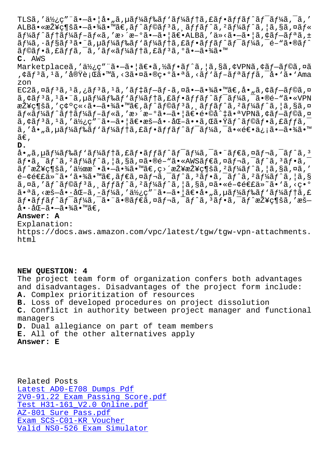ALDa•salty ||Sa• Ta• 4a• "at,aj aj saj a, aj jaj a, "aj 4aj a, <sub>l</sub>a, 8a,¤aj s  $\tilde{a}f\tilde{a}f^*$ ã $f$ +ã $f\tilde{a}f^*$ ã $f$ -ã $f$ «ã, 'æ>´æ- $\tilde{a}$ • $|\tilde{a}e$ • $\tilde{a}f$ ، 'ä»<ã• $-\tilde{a}e$ • $|\tilde{a},\tilde{a}f$  $\tilde{a}f$ ¤ã, $\pm$ ãf¼ã, ·ãf§ãf3㕨ã,uãf¼ãf‰ãf`ãf¼ãf†ã,£ãf•ãffãf^ãf¯ãf¼ã,¯é-"ã•®ãf^ ãf©ãf•ã,£ãffã,¯ã,′ãf«ãf¼ãf†ã,£ãf3ã,°ã•–㕾ã•™ **C.** AWS

Marketplaceã,′使ç″¨ã•—㕦〕ã,½ãƒ•ãƒ^ã,¦ã,§ã,¢VPNã,¢ãƒ—ラã,¤ã ,¢ãfªã,1ã,′実行ã•™ã,<3㕤㕮異㕪ã,<ãf`ãf-ãfªãffã,¯å•`ã•`Ama zon

 $EC2\tilde{a}$ , $\tilde{a}$  $f$  $\tilde{a}$ , $\tilde{a}$ , $\tilde{f}$  $\tilde{a}$ , $\tilde{a}$ , $\tilde{a}$ , $\tilde{a}$  $f$  $\tilde{a}$ , $\tilde{a}$ , $\tilde{a}$ , $\tilde{a}$ , $\tilde{a}$ , $\tilde{a}$ , $\tilde{a}$ , $\tilde{a}$ , $\tilde{a}$ , $\tilde{a}$ , $\tilde{a}$ , $\tilde{a}$ , $\tilde{a}$ , $\tilde{a}$ , $\tilde{a}$ ,  $\tilde{a}$ ,  $\tilde{a}$   $f^{3}$  $\tilde{a}$ ,  $f^{4}$  $\tilde{a}$ ,  $f^{1}$  $\tilde{a}$  $f^{2}$  $\tilde{a}$  $f^{4}$  $\tilde{a}$ ,  $f^{5}$  $\tilde{a}$  $f^{6}$  $\tilde{a}$  $f^{7}$  $\tilde{a}$  $f^{7}$  $\tilde{a}$  $f^{7}$  $\tilde{a}$ ,  $f^{7}$  $\tilde{a}$ ,  $f^{8}$  $\tilde{a}$ ,  $f^{9}$  $\tilde{a}$ ,  $f^{1}$ 接ç¶šã,′確ç«<㕗㕾ã•™ã€,ãƒ^ラリã,¸ãƒƒãƒ^ã,²ãƒ¼ãƒ^ã,¦ã,§ã,¤ ãf«ãf¼ãf^ãf†ãf¼ãf-ãf«ã,'æ>´æ-°ã•-ã•|〕é•©å^‡ã•ªVPNã,¢ãf-ãf©ã,¤  $\tilde{a}$ ,¢ã $f$  $\tilde{a}$ , $\tilde{a}$ , '使ç″¨ã•–㕦〕æš–å•∙化ã••ã,Œã•Ÿã $f$ ˆã $f$ ôã $f$ •ã,£ã $f$ fã, ã,′å•"ã,µãƒ¼ãƒ‰ãƒ'ーテã,£ãƒ•ãƒfãƒ^ワーã,¯ã•«é€•信㕗㕾ã•™  $\widetilde{a}\in$  ,

**D.**

 $a_{\bullet}$ , ã, pãf¼ãf‰ãf 'ãf¼ãftã, £ãf·ãffãf^ãf<sup>-</sup>ãf¼ã, <sup>-</sup>ã• "ãf€ã, ¤ãf¬ã, <sup>-</sup>ãf^ã, 3  $\tilde{a}f$ •ã, $\tilde{a}f$ ´ã, $f^2$ ã $f^2$ ã $f$ ´ã, $\tilde{a}f$ ´ã, $\tilde{s}gf$ õã, ¤ã $\tilde{a}f$ єã, ¤ã $f$ ´ã,  $\tilde{a}f$ ´ã,  $\tilde{a}f$ ʻã,  $\tilde{a}f$ <sup>2</sup> $\tilde{z}$ ¥ç¶šã,'作 $\tilde{z}$ •ã• $-\tilde{a}$ •¾ $\tilde{a}$ •™ã $\epsilon$ , $\varsigma$ >´æŽ¥æŽ¥ç¶šã,'ã $f$ ¼ã $f$ ^ã,  $|\tilde{a}$ , $\tilde{s}$ ã, $\tilde{a}$ ,'  $\epsilon$ -¢é $\epsilon$ tä»~ã•'㕾ã•™ã $\epsilon$ ,ã $f$  $\epsilon$ ã,¤ã $f$ ‹, $\epsilon$ ã $f$  $\epsilon$ ã, $s$ ã, $f$ •ã, $f$ ã, $f$ ã, $f$ ã, $s$  $a, \alpha a, 'a f^a f^b$ a for  $f^a$ a,  $f^a f^b$ a for  $f^a f^b$ a for  $f^a$ ,  $f^a$ ,  $f^a f^c$ a for  $f^a f^c$  $a \cdot a \tilde{a}$ , < $a \tilde{a} - a \cdot a \cdot b - a$ ,  $a \tilde{b}$  +  $a \tilde{b}$  +  $a \tilde{b}$  +  $a \tilde{b}$  +  $a \tilde{b}$  +  $a \tilde{b}$  +  $a \tilde{b}$  +  $a \tilde{b}$  +  $a \tilde{b}$  +  $a \tilde{b}$  +  $a \tilde{b}$  +  $a \tilde{b}$  +  $a \tilde{b}$  +  $a \tilde{b}$  +  $a \tilde{b}$  +  $a \tilde$ フットワーク㕨㕮ダイレクトコフクト接続を暗 啕化㕗㕾ã•™ã€,

## **Answer: A**

Explanation: https://docs.aws.amazon.com/vpc/latest/tgw/tgw-vpn-attachments. html

## **NEW QUESTION: 4**

The project team form of organization confers both advantages and disadvantages. Disadvantages of the project form include: **A.** Complex prioritization of resources **B.** Loss of developed procedures on project dissolution **C.** Conflict in authority between project manager and functional managers **D.** Dual allegiance on part of team members **E.** All of the other alternatives apply

**Answer: E**

Related Posts Latest AD0-E708 Dumps Pdf 2V0-91.22 Exam Passing Score.pdf Test H31-161\_V2.0 Online.pdf AZ-801 Sure Pass.pdf [Exam SCS-C01-KR Voucher](http://superwszywka.pl/torrent/static-AD0-E708-exam/Latest--Dumps-Pdf-627273.html) [Valid NS0-526 Exam Simulato](http://superwszywka.pl/torrent/static-H31-161_V2.0-exam/Test--Online.pdf-051616.html)[r](http://superwszywka.pl/torrent/static-2V0-91.22-exam/Exam-Passing-Score.pdf-627273.html)